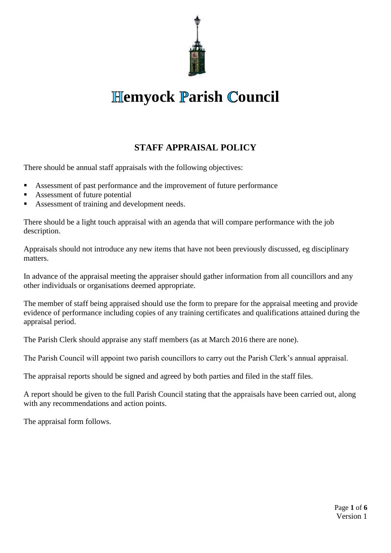

# **Hemyock Parish Council**

## **STAFF APPRAISAL POLICY**

There should be annual staff appraisals with the following objectives:

- Assessment of past performance and the improvement of future performance
- Assessment of future potential
- Assessment of training and development needs.

There should be a light touch appraisal with an agenda that will compare performance with the job description.

Appraisals should not introduce any new items that have not been previously discussed, eg disciplinary matters.

In advance of the appraisal meeting the appraiser should gather information from all councillors and any other individuals or organisations deemed appropriate.

The member of staff being appraised should use the form to prepare for the appraisal meeting and provide evidence of performance including copies of any training certificates and qualifications attained during the appraisal period.

The Parish Clerk should appraise any staff members (as at March 2016 there are none).

The Parish Council will appoint two parish councillors to carry out the Parish Clerk's annual appraisal.

The appraisal reports should be signed and agreed by both parties and filed in the staff files.

A report should be given to the full Parish Council stating that the appraisals have been carried out, along with any recommendations and action points.

The appraisal form follows.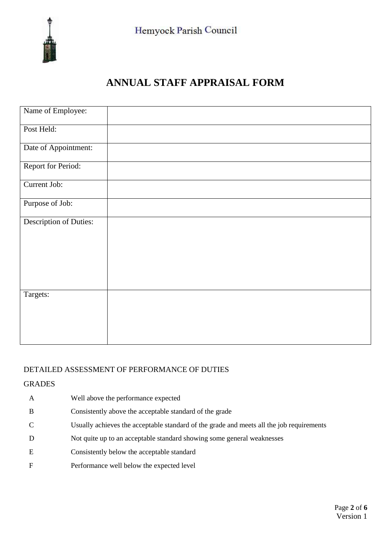

# **ANNUAL STAFF APPRAISAL FORM**

| Name of Employee:             |  |  |
|-------------------------------|--|--|
| Post Held:                    |  |  |
| Date of Appointment:          |  |  |
| Report for Period:            |  |  |
| Current Job:                  |  |  |
| Purpose of Job:               |  |  |
| <b>Description of Duties:</b> |  |  |
|                               |  |  |
|                               |  |  |
|                               |  |  |
| Targets:                      |  |  |
|                               |  |  |
|                               |  |  |

### DETAILED ASSESSMENT OF PERFORMANCE OF DUTIES

#### **GRADES**

- A Well above the performance expected B Consistently above the acceptable standard of the grade C Usually achieves the acceptable standard of the grade and meets all the job requirements D Not quite up to an acceptable standard showing some general weaknesses E Consistently below the acceptable standard
- F Performance well below the expected level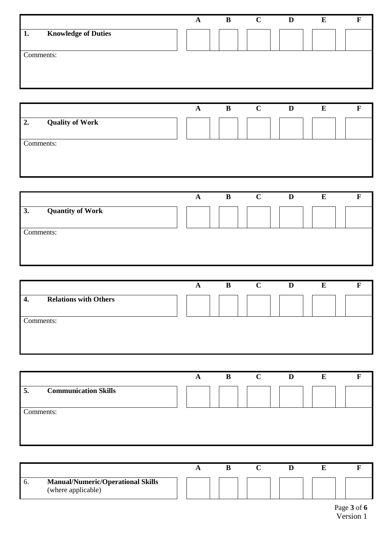|                                  | A | B | $\mathbf C$ | D | E | в |
|----------------------------------|---|---|-------------|---|---|---|
| <b>Knowledge of Duties</b><br>1. |   |   |             |   |   |   |
| Comments:                        |   |   |             |   |   |   |
|                                  |   |   |             |   |   |   |

|                              | A | B | $\mathbf C$ | D | E |  |
|------------------------------|---|---|-------------|---|---|--|
| 2.<br><b>Quality of Work</b> |   |   |             |   |   |  |
|                              |   |   |             |   |   |  |
| Comments:                    |   |   |             |   |   |  |
|                              |   |   |             |   |   |  |
|                              |   |   |             |   |   |  |
|                              |   |   |             |   |   |  |

|                               | A | B | $\mathbf C$ | D | E |  |
|-------------------------------|---|---|-------------|---|---|--|
| <b>Quantity of Work</b><br>3. |   |   |             |   |   |  |
| Comments:                     |   |   |             |   |   |  |
|                               |   |   |             |   |   |  |
|                               |   |   |             |   |   |  |

|                                       | A | $\mathbf{B}$ | $\mathbf C$ | D | E |  |
|---------------------------------------|---|--------------|-------------|---|---|--|
| <b>Relations with Others</b><br>$-4.$ |   |              |             |   |   |  |
| Comments:                             |   |              |             |   |   |  |

|                                   | A | B | $\mathbf C$ | D | E |  |
|-----------------------------------|---|---|-------------|---|---|--|
| <b>Communication Skills</b><br>5. |   |   |             |   |   |  |
| Comments:                         |   |   |             |   |   |  |
|                                   |   |   |             |   |   |  |

| . O. | <b>Manual/Numeric/Operational Skills</b><br>(where applicable) |  |  |  |  |  |  |
|------|----------------------------------------------------------------|--|--|--|--|--|--|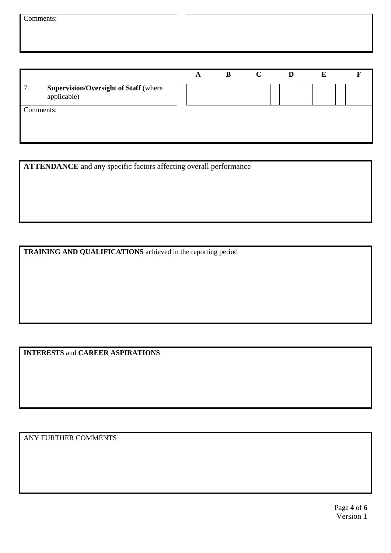|                                                                   | A | B | $\mathbf C$ | D |  |  |
|-------------------------------------------------------------------|---|---|-------------|---|--|--|
| <b>Supervision/Oversight of Staff (where</b><br>7.<br>applicable) |   |   |             |   |  |  |
| Comments:                                                         |   |   |             |   |  |  |
|                                                                   |   |   |             |   |  |  |

**ATTENDANCE** and any specific factors affecting overall performance

**TRAINING AND QUALIFICATIONS** achieved in the reporting period

**INTERESTS** and **CAREER ASPIRATIONS**

ANY FURTHER COMMENTS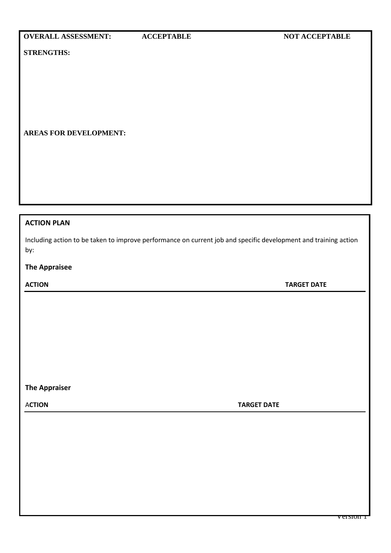**STRENGTHS:**

#### **AREAS FOR DEVELOPMENT:**

#### **ACTION PLAN**

Including action to be taken to improve performance on current job and specific development and training action by:

#### **The Appraisee**

**ACTION TARGET DATE**

**The Appraiser**

A**CTION TARGET DATE**